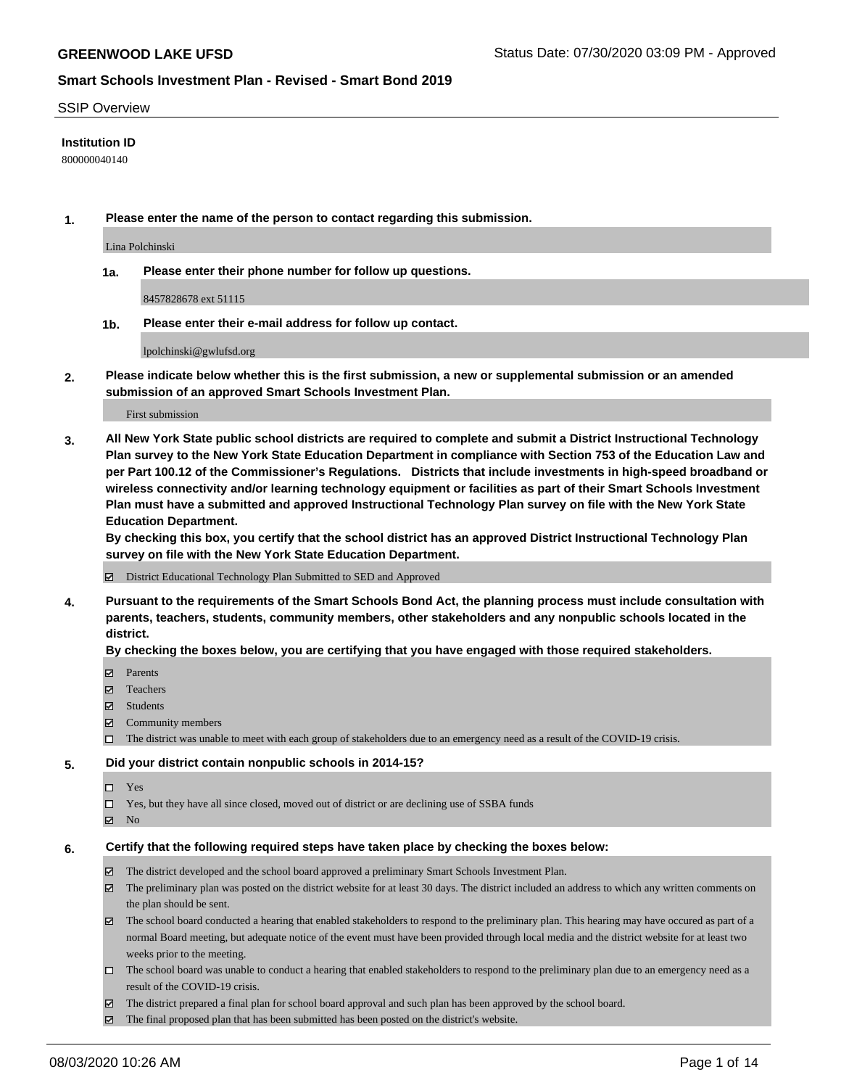#### SSIP Overview

#### **Institution ID**

800000040140

**1. Please enter the name of the person to contact regarding this submission.**

Lina Polchinski

**1a. Please enter their phone number for follow up questions.**

8457828678 ext 51115

**1b. Please enter their e-mail address for follow up contact.**

lpolchinski@gwlufsd.org

**2. Please indicate below whether this is the first submission, a new or supplemental submission or an amended submission of an approved Smart Schools Investment Plan.**

#### First submission

**3. All New York State public school districts are required to complete and submit a District Instructional Technology Plan survey to the New York State Education Department in compliance with Section 753 of the Education Law and per Part 100.12 of the Commissioner's Regulations. Districts that include investments in high-speed broadband or wireless connectivity and/or learning technology equipment or facilities as part of their Smart Schools Investment Plan must have a submitted and approved Instructional Technology Plan survey on file with the New York State Education Department.** 

**By checking this box, you certify that the school district has an approved District Instructional Technology Plan survey on file with the New York State Education Department.**

District Educational Technology Plan Submitted to SED and Approved

**4. Pursuant to the requirements of the Smart Schools Bond Act, the planning process must include consultation with parents, teachers, students, community members, other stakeholders and any nonpublic schools located in the district.** 

#### **By checking the boxes below, you are certifying that you have engaged with those required stakeholders.**

- **□** Parents
- Teachers
- Students
- $\boxtimes$  Community members
- The district was unable to meet with each group of stakeholders due to an emergency need as a result of the COVID-19 crisis.

#### **5. Did your district contain nonpublic schools in 2014-15?**

- $\neg$  Yes
- Yes, but they have all since closed, moved out of district or are declining use of SSBA funds
- **Z** No

#### **6. Certify that the following required steps have taken place by checking the boxes below:**

- The district developed and the school board approved a preliminary Smart Schools Investment Plan.
- $\boxtimes$  The preliminary plan was posted on the district website for at least 30 days. The district included an address to which any written comments on the plan should be sent.
- $\boxtimes$  The school board conducted a hearing that enabled stakeholders to respond to the preliminary plan. This hearing may have occured as part of a normal Board meeting, but adequate notice of the event must have been provided through local media and the district website for at least two weeks prior to the meeting.
- The school board was unable to conduct a hearing that enabled stakeholders to respond to the preliminary plan due to an emergency need as a result of the COVID-19 crisis.
- The district prepared a final plan for school board approval and such plan has been approved by the school board.
- $\boxtimes$  The final proposed plan that has been submitted has been posted on the district's website.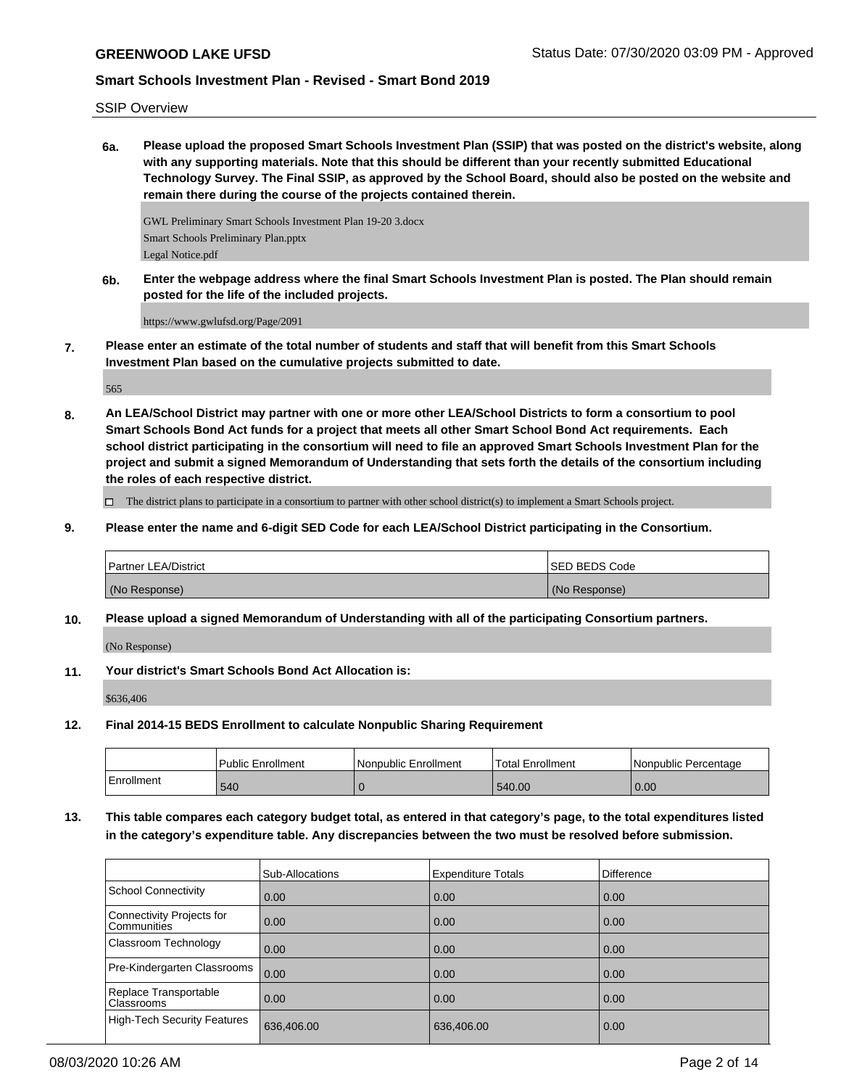SSIP Overview

**6a. Please upload the proposed Smart Schools Investment Plan (SSIP) that was posted on the district's website, along with any supporting materials. Note that this should be different than your recently submitted Educational Technology Survey. The Final SSIP, as approved by the School Board, should also be posted on the website and remain there during the course of the projects contained therein.**

GWL Preliminary Smart Schools Investment Plan 19-20 3.docx Smart Schools Preliminary Plan.pptx Legal Notice.pdf

**6b. Enter the webpage address where the final Smart Schools Investment Plan is posted. The Plan should remain posted for the life of the included projects.**

https://www.gwlufsd.org/Page/2091

**7. Please enter an estimate of the total number of students and staff that will benefit from this Smart Schools Investment Plan based on the cumulative projects submitted to date.**

565

**8. An LEA/School District may partner with one or more other LEA/School Districts to form a consortium to pool Smart Schools Bond Act funds for a project that meets all other Smart School Bond Act requirements. Each school district participating in the consortium will need to file an approved Smart Schools Investment Plan for the project and submit a signed Memorandum of Understanding that sets forth the details of the consortium including the roles of each respective district.**

The district plans to participate in a consortium to partner with other school district(s) to implement a Smart Schools project.

**9. Please enter the name and 6-digit SED Code for each LEA/School District participating in the Consortium.**

| <b>Partner LEA/District</b> | <b>ISED BEDS Code</b> |
|-----------------------------|-----------------------|
| (No Response)               | (No Response)         |

**10. Please upload a signed Memorandum of Understanding with all of the participating Consortium partners.**

(No Response)

**11. Your district's Smart Schools Bond Act Allocation is:**

\$636,406

**12. Final 2014-15 BEDS Enrollment to calculate Nonpublic Sharing Requirement**

|              | Public Enrollment | Nonpublic Enrollment | Total Enrollment | l Nonpublic Percentage |
|--------------|-------------------|----------------------|------------------|------------------------|
| l Enrollment | 540               |                      | 540.00           | 0.00                   |

**13. This table compares each category budget total, as entered in that category's page, to the total expenditures listed in the category's expenditure table. Any discrepancies between the two must be resolved before submission.**

|                                          | Sub-Allocations | <b>Expenditure Totals</b> | Difference |
|------------------------------------------|-----------------|---------------------------|------------|
| <b>School Connectivity</b>               | 0.00            | 0.00                      | 0.00       |
| Connectivity Projects for<br>Communities | 0.00            | 0.00                      | 0.00       |
| Classroom Technology                     | 0.00            | 0.00                      | 0.00       |
| Pre-Kindergarten Classrooms              | 0.00            | 0.00                      | 0.00       |
| Replace Transportable<br>Classrooms      | 0.00            | 0.00                      | 0.00       |
| <b>High-Tech Security Features</b>       | 636,406.00      | 636,406.00                | 0.00       |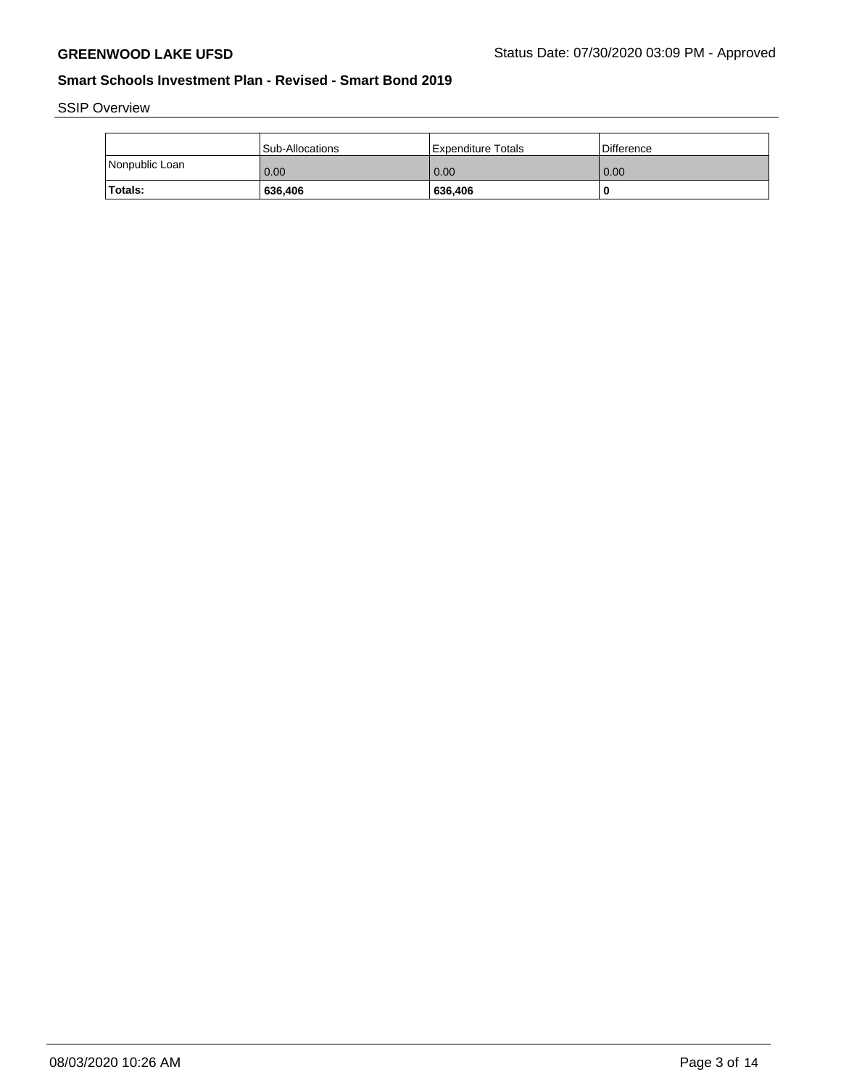SSIP Overview

|                | <b>Sub-Allocations</b> | l Expenditure Totals | l Difference |
|----------------|------------------------|----------------------|--------------|
| Nonpublic Loan | 0.00                   | 0.00                 | 0.00         |
| Totals:        | 636,406                | 636,406              | -0           |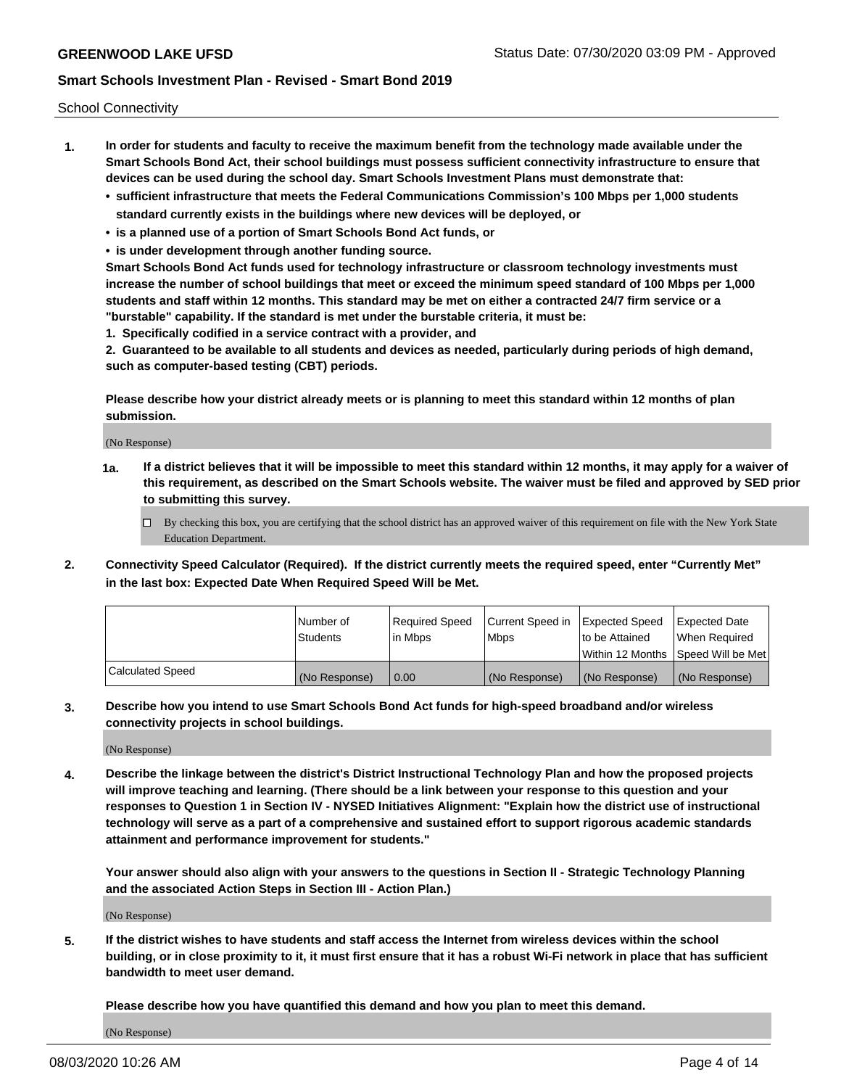School Connectivity

- **1. In order for students and faculty to receive the maximum benefit from the technology made available under the Smart Schools Bond Act, their school buildings must possess sufficient connectivity infrastructure to ensure that devices can be used during the school day. Smart Schools Investment Plans must demonstrate that:**
	- **• sufficient infrastructure that meets the Federal Communications Commission's 100 Mbps per 1,000 students standard currently exists in the buildings where new devices will be deployed, or**
	- **• is a planned use of a portion of Smart Schools Bond Act funds, or**
	- **• is under development through another funding source.**

**Smart Schools Bond Act funds used for technology infrastructure or classroom technology investments must increase the number of school buildings that meet or exceed the minimum speed standard of 100 Mbps per 1,000 students and staff within 12 months. This standard may be met on either a contracted 24/7 firm service or a "burstable" capability. If the standard is met under the burstable criteria, it must be:**

**1. Specifically codified in a service contract with a provider, and**

**2. Guaranteed to be available to all students and devices as needed, particularly during periods of high demand, such as computer-based testing (CBT) periods.**

**Please describe how your district already meets or is planning to meet this standard within 12 months of plan submission.**

(No Response)

**1a. If a district believes that it will be impossible to meet this standard within 12 months, it may apply for a waiver of this requirement, as described on the Smart Schools website. The waiver must be filed and approved by SED prior to submitting this survey.**

 $\Box$  By checking this box, you are certifying that the school district has an approved waiver of this requirement on file with the New York State Education Department.

**2. Connectivity Speed Calculator (Required). If the district currently meets the required speed, enter "Currently Met" in the last box: Expected Date When Required Speed Will be Met.**

|                  | l Number of     | Required Speed | Current Speed in | Expected Speed | Expected Date                           |
|------------------|-----------------|----------------|------------------|----------------|-----------------------------------------|
|                  | <b>Students</b> | In Mbps        | l Mbps           | to be Attained | When Required                           |
|                  |                 |                |                  |                | l Within 12 Months ISpeed Will be Met l |
| Calculated Speed | (No Response)   | 0.00           | (No Response)    | (No Response)  | (No Response)                           |

**3. Describe how you intend to use Smart Schools Bond Act funds for high-speed broadband and/or wireless connectivity projects in school buildings.**

(No Response)

**4. Describe the linkage between the district's District Instructional Technology Plan and how the proposed projects will improve teaching and learning. (There should be a link between your response to this question and your responses to Question 1 in Section IV - NYSED Initiatives Alignment: "Explain how the district use of instructional technology will serve as a part of a comprehensive and sustained effort to support rigorous academic standards attainment and performance improvement for students."** 

**Your answer should also align with your answers to the questions in Section II - Strategic Technology Planning and the associated Action Steps in Section III - Action Plan.)**

(No Response)

**5. If the district wishes to have students and staff access the Internet from wireless devices within the school building, or in close proximity to it, it must first ensure that it has a robust Wi-Fi network in place that has sufficient bandwidth to meet user demand.**

**Please describe how you have quantified this demand and how you plan to meet this demand.**

(No Response)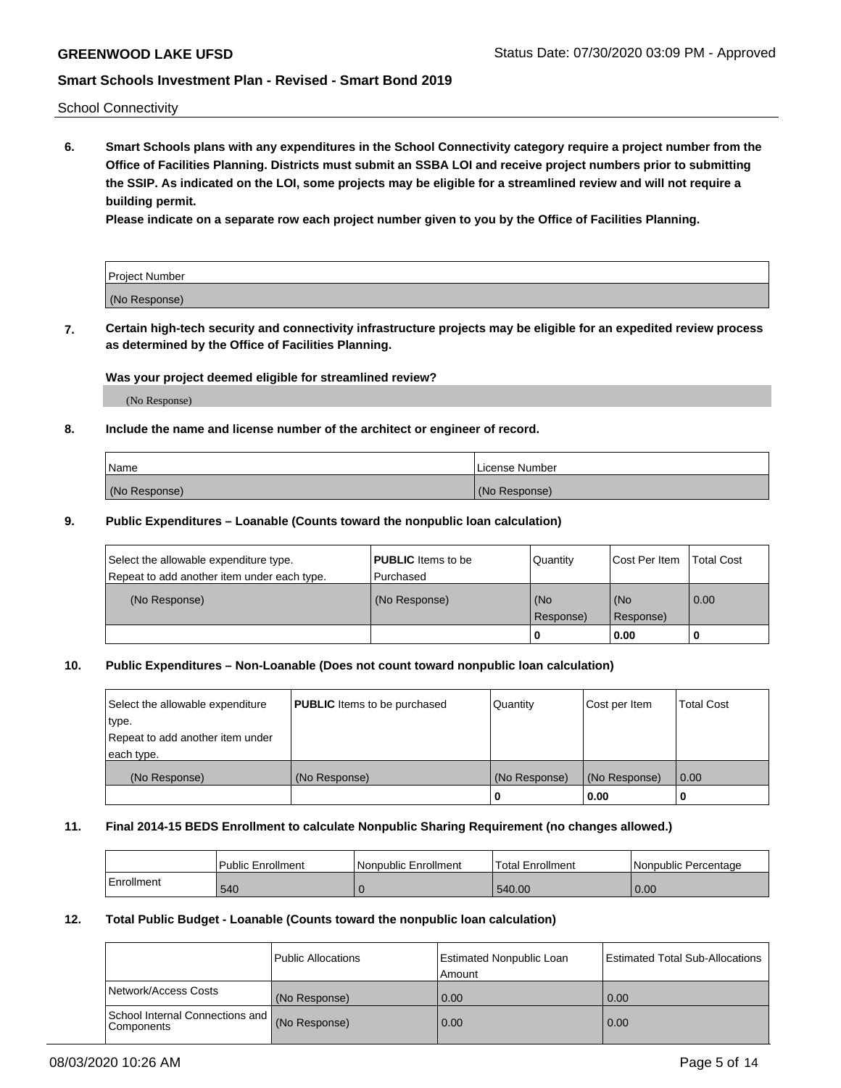School Connectivity

**6. Smart Schools plans with any expenditures in the School Connectivity category require a project number from the Office of Facilities Planning. Districts must submit an SSBA LOI and receive project numbers prior to submitting the SSIP. As indicated on the LOI, some projects may be eligible for a streamlined review and will not require a building permit.**

**Please indicate on a separate row each project number given to you by the Office of Facilities Planning.**

| Project Number |  |
|----------------|--|
| (No Response)  |  |

**7. Certain high-tech security and connectivity infrastructure projects may be eligible for an expedited review process as determined by the Office of Facilities Planning.**

#### **Was your project deemed eligible for streamlined review?**

(No Response)

### **8. Include the name and license number of the architect or engineer of record.**

| Name          | License Number |
|---------------|----------------|
| (No Response) | (No Response)  |

### **9. Public Expenditures – Loanable (Counts toward the nonpublic loan calculation)**

| Select the allowable expenditure type.<br>Repeat to add another item under each type. | <b>PUBLIC</b> Items to be<br>l Purchased | Quantity           | Cost Per Item    | <b>Total Cost</b> |
|---------------------------------------------------------------------------------------|------------------------------------------|--------------------|------------------|-------------------|
| (No Response)                                                                         | (No Response)                            | l (No<br>Response) | (No<br>Response) | $\overline{0.00}$ |
|                                                                                       |                                          | O                  | 0.00             |                   |

### **10. Public Expenditures – Non-Loanable (Does not count toward nonpublic loan calculation)**

| Select the allowable expenditure<br>type.<br>Repeat to add another item under<br>each type. | <b>PUBLIC</b> Items to be purchased | Quantity      | Cost per Item | <b>Total Cost</b> |
|---------------------------------------------------------------------------------------------|-------------------------------------|---------------|---------------|-------------------|
| (No Response)                                                                               | (No Response)                       | (No Response) | (No Response) | 0.00              |
|                                                                                             |                                     |               | 0.00          |                   |

#### **11. Final 2014-15 BEDS Enrollment to calculate Nonpublic Sharing Requirement (no changes allowed.)**

|            | Public Enrollment | Nonpublic Enrollment | Total Enrollment | l Nonpublic Percentage |
|------------|-------------------|----------------------|------------------|------------------------|
| Enrollment | 540               |                      | 540.00           | 0.00                   |

#### **12. Total Public Budget - Loanable (Counts toward the nonpublic loan calculation)**

|                                                      | Public Allocations | <b>Estimated Nonpublic Loan</b><br>Amount | Estimated Total Sub-Allocations |
|------------------------------------------------------|--------------------|-------------------------------------------|---------------------------------|
| Network/Access Costs                                 | (No Response)      | 0.00                                      | 0.00                            |
| School Internal Connections and<br><b>Components</b> | (No Response)      | 0.00                                      | 0.00                            |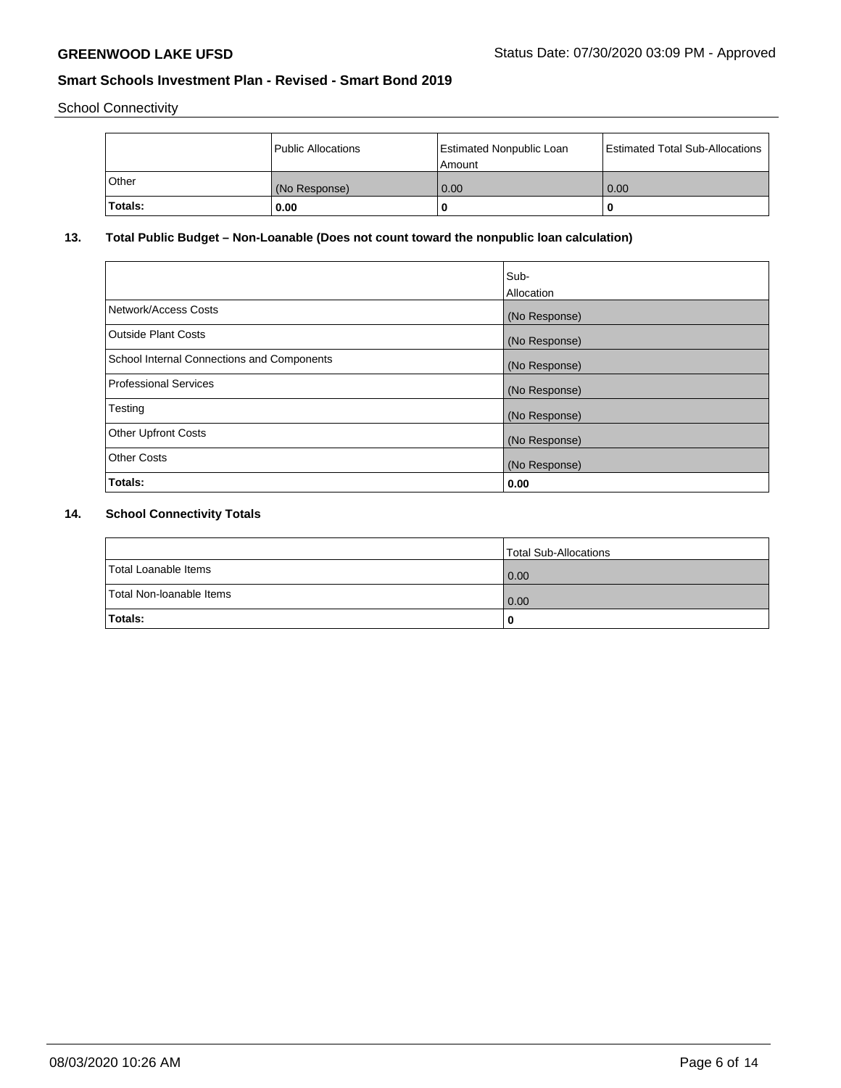School Connectivity

|                | Public Allocations | <b>Estimated Nonpublic Loan</b><br>l Amount | <b>Estimated Total Sub-Allocations</b> |
|----------------|--------------------|---------------------------------------------|----------------------------------------|
| l Other        | (No Response)      | 0.00                                        | 0.00                                   |
| <b>Totals:</b> | 0.00               | 0                                           |                                        |

# **13. Total Public Budget – Non-Loanable (Does not count toward the nonpublic loan calculation)**

| Sub-<br>Allocation |
|--------------------|
| (No Response)      |
| (No Response)      |
| (No Response)      |
| (No Response)      |
| (No Response)      |
| (No Response)      |
| (No Response)      |
| 0.00               |
|                    |

# **14. School Connectivity Totals**

|                          | Total Sub-Allocations |
|--------------------------|-----------------------|
| Total Loanable Items     | 0.00                  |
| Total Non-Ioanable Items | 0.00                  |
| Totals:                  |                       |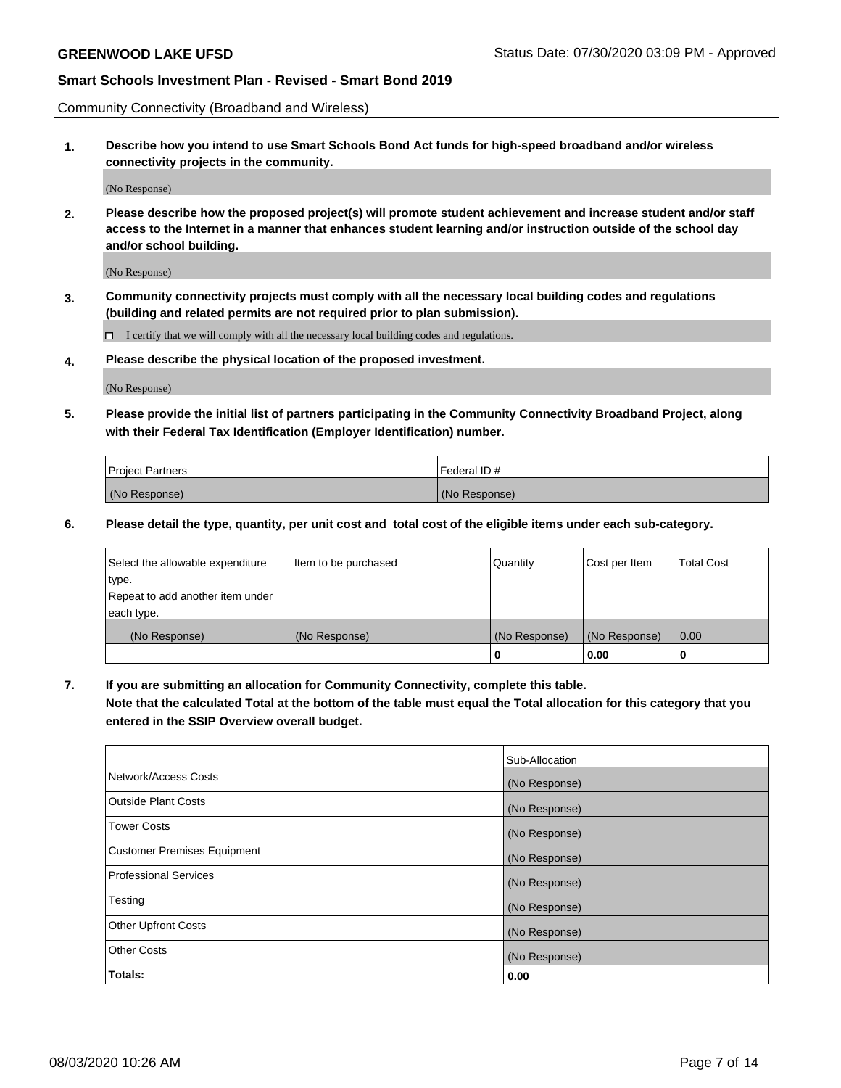Community Connectivity (Broadband and Wireless)

**1. Describe how you intend to use Smart Schools Bond Act funds for high-speed broadband and/or wireless connectivity projects in the community.**

(No Response)

**2. Please describe how the proposed project(s) will promote student achievement and increase student and/or staff access to the Internet in a manner that enhances student learning and/or instruction outside of the school day and/or school building.**

(No Response)

**3. Community connectivity projects must comply with all the necessary local building codes and regulations (building and related permits are not required prior to plan submission).**

 $\Box$  I certify that we will comply with all the necessary local building codes and regulations.

**4. Please describe the physical location of the proposed investment.**

(No Response)

**5. Please provide the initial list of partners participating in the Community Connectivity Broadband Project, along with their Federal Tax Identification (Employer Identification) number.**

| <b>Project Partners</b> | l Federal ID # |
|-------------------------|----------------|
| (No Response)           | (No Response)  |

**6. Please detail the type, quantity, per unit cost and total cost of the eligible items under each sub-category.**

| Select the allowable expenditure | Item to be purchased | Quantity      | Cost per Item | <b>Total Cost</b> |
|----------------------------------|----------------------|---------------|---------------|-------------------|
| type.                            |                      |               |               |                   |
| Repeat to add another item under |                      |               |               |                   |
| each type.                       |                      |               |               |                   |
| (No Response)                    | (No Response)        | (No Response) | (No Response) | 0.00              |
|                                  |                      | o             | 0.00          |                   |

**7. If you are submitting an allocation for Community Connectivity, complete this table.**

**Note that the calculated Total at the bottom of the table must equal the Total allocation for this category that you entered in the SSIP Overview overall budget.**

|                                    | Sub-Allocation |
|------------------------------------|----------------|
| Network/Access Costs               | (No Response)  |
| <b>Outside Plant Costs</b>         | (No Response)  |
| <b>Tower Costs</b>                 | (No Response)  |
| <b>Customer Premises Equipment</b> | (No Response)  |
| <b>Professional Services</b>       | (No Response)  |
| Testing                            | (No Response)  |
| <b>Other Upfront Costs</b>         | (No Response)  |
| <b>Other Costs</b>                 | (No Response)  |
| Totals:                            | 0.00           |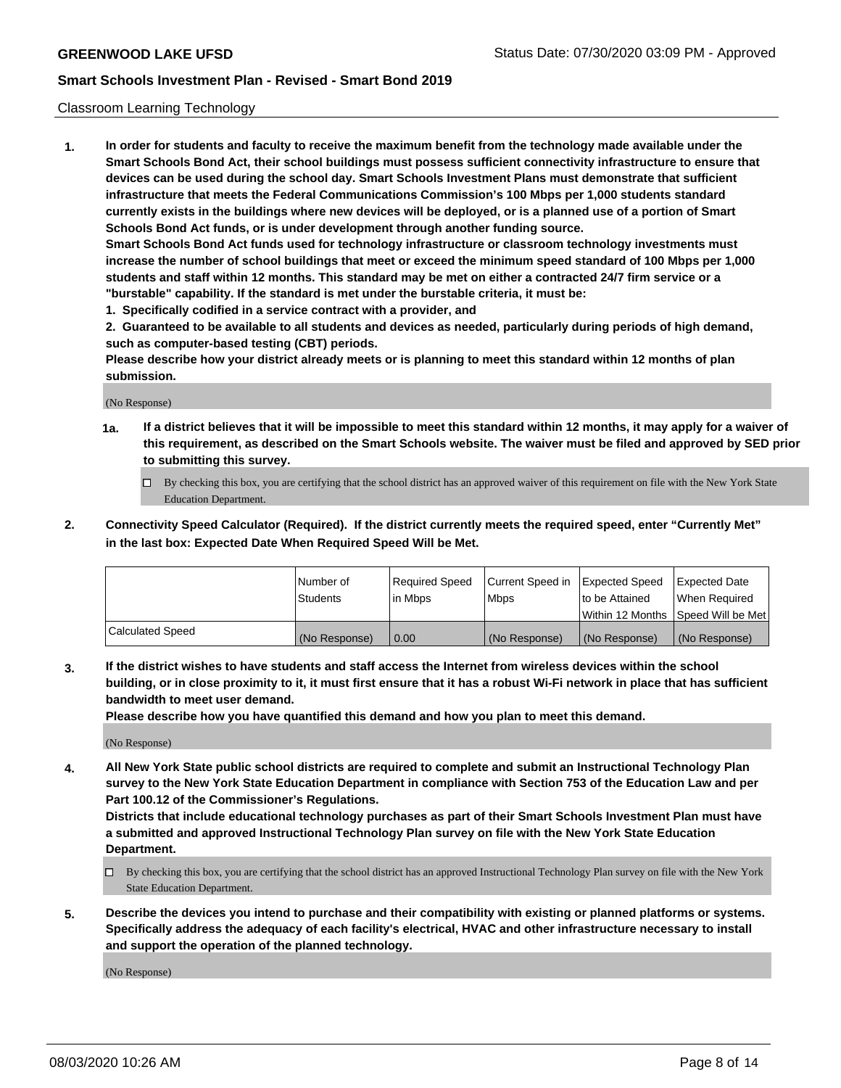### Classroom Learning Technology

**1. In order for students and faculty to receive the maximum benefit from the technology made available under the Smart Schools Bond Act, their school buildings must possess sufficient connectivity infrastructure to ensure that devices can be used during the school day. Smart Schools Investment Plans must demonstrate that sufficient infrastructure that meets the Federal Communications Commission's 100 Mbps per 1,000 students standard currently exists in the buildings where new devices will be deployed, or is a planned use of a portion of Smart Schools Bond Act funds, or is under development through another funding source. Smart Schools Bond Act funds used for technology infrastructure or classroom technology investments must increase the number of school buildings that meet or exceed the minimum speed standard of 100 Mbps per 1,000 students and staff within 12 months. This standard may be met on either a contracted 24/7 firm service or a**

**"burstable" capability. If the standard is met under the burstable criteria, it must be:**

**1. Specifically codified in a service contract with a provider, and**

**2. Guaranteed to be available to all students and devices as needed, particularly during periods of high demand, such as computer-based testing (CBT) periods.**

**Please describe how your district already meets or is planning to meet this standard within 12 months of plan submission.**

(No Response)

- **1a. If a district believes that it will be impossible to meet this standard within 12 months, it may apply for a waiver of this requirement, as described on the Smart Schools website. The waiver must be filed and approved by SED prior to submitting this survey.**
	- By checking this box, you are certifying that the school district has an approved waiver of this requirement on file with the New York State Education Department.
- **2. Connectivity Speed Calculator (Required). If the district currently meets the required speed, enter "Currently Met" in the last box: Expected Date When Required Speed Will be Met.**

|                         | Number of     | Required Speed | Current Speed in | Expected Speed | <b>Expected Date</b>                 |
|-------------------------|---------------|----------------|------------------|----------------|--------------------------------------|
|                         | Students      | l in Mbps      | <b>Mbps</b>      | to be Attained | When Reauired                        |
|                         |               |                |                  |                | Within 12 Months 1Speed Will be Met1 |
| <b>Calculated Speed</b> | (No Response) | 0.00           | (No Response)    | (No Response)  | (No Response)                        |

**3. If the district wishes to have students and staff access the Internet from wireless devices within the school building, or in close proximity to it, it must first ensure that it has a robust Wi-Fi network in place that has sufficient bandwidth to meet user demand.**

**Please describe how you have quantified this demand and how you plan to meet this demand.**

(No Response)

**4. All New York State public school districts are required to complete and submit an Instructional Technology Plan survey to the New York State Education Department in compliance with Section 753 of the Education Law and per Part 100.12 of the Commissioner's Regulations.**

**Districts that include educational technology purchases as part of their Smart Schools Investment Plan must have a submitted and approved Instructional Technology Plan survey on file with the New York State Education Department.**

- By checking this box, you are certifying that the school district has an approved Instructional Technology Plan survey on file with the New York State Education Department.
- **5. Describe the devices you intend to purchase and their compatibility with existing or planned platforms or systems. Specifically address the adequacy of each facility's electrical, HVAC and other infrastructure necessary to install and support the operation of the planned technology.**

(No Response)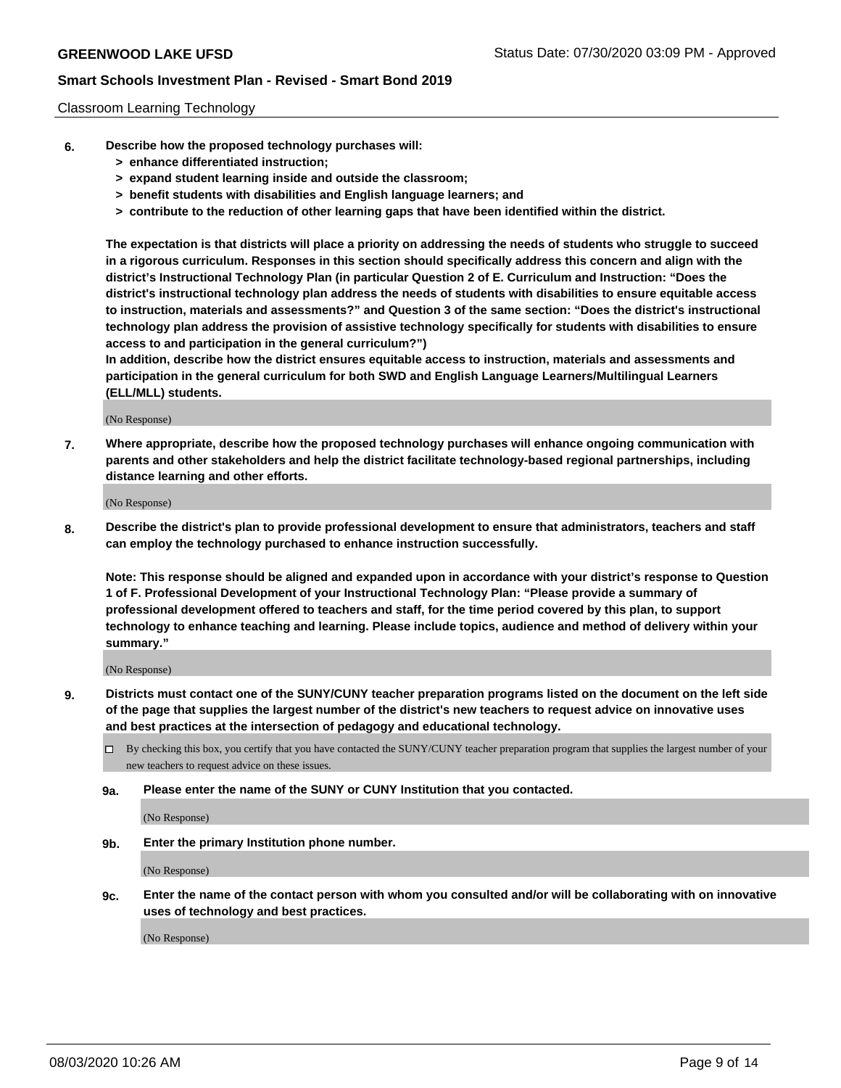### Classroom Learning Technology

- **6. Describe how the proposed technology purchases will:**
	- **> enhance differentiated instruction;**
	- **> expand student learning inside and outside the classroom;**
	- **> benefit students with disabilities and English language learners; and**
	- **> contribute to the reduction of other learning gaps that have been identified within the district.**

**The expectation is that districts will place a priority on addressing the needs of students who struggle to succeed in a rigorous curriculum. Responses in this section should specifically address this concern and align with the district's Instructional Technology Plan (in particular Question 2 of E. Curriculum and Instruction: "Does the district's instructional technology plan address the needs of students with disabilities to ensure equitable access to instruction, materials and assessments?" and Question 3 of the same section: "Does the district's instructional technology plan address the provision of assistive technology specifically for students with disabilities to ensure access to and participation in the general curriculum?")**

**In addition, describe how the district ensures equitable access to instruction, materials and assessments and participation in the general curriculum for both SWD and English Language Learners/Multilingual Learners (ELL/MLL) students.**

(No Response)

**7. Where appropriate, describe how the proposed technology purchases will enhance ongoing communication with parents and other stakeholders and help the district facilitate technology-based regional partnerships, including distance learning and other efforts.**

(No Response)

**8. Describe the district's plan to provide professional development to ensure that administrators, teachers and staff can employ the technology purchased to enhance instruction successfully.**

**Note: This response should be aligned and expanded upon in accordance with your district's response to Question 1 of F. Professional Development of your Instructional Technology Plan: "Please provide a summary of professional development offered to teachers and staff, for the time period covered by this plan, to support technology to enhance teaching and learning. Please include topics, audience and method of delivery within your summary."**

(No Response)

- **9. Districts must contact one of the SUNY/CUNY teacher preparation programs listed on the document on the left side of the page that supplies the largest number of the district's new teachers to request advice on innovative uses and best practices at the intersection of pedagogy and educational technology.**
	- By checking this box, you certify that you have contacted the SUNY/CUNY teacher preparation program that supplies the largest number of your new teachers to request advice on these issues.
	- **9a. Please enter the name of the SUNY or CUNY Institution that you contacted.**

(No Response)

**9b. Enter the primary Institution phone number.**

(No Response)

**9c. Enter the name of the contact person with whom you consulted and/or will be collaborating with on innovative uses of technology and best practices.**

(No Response)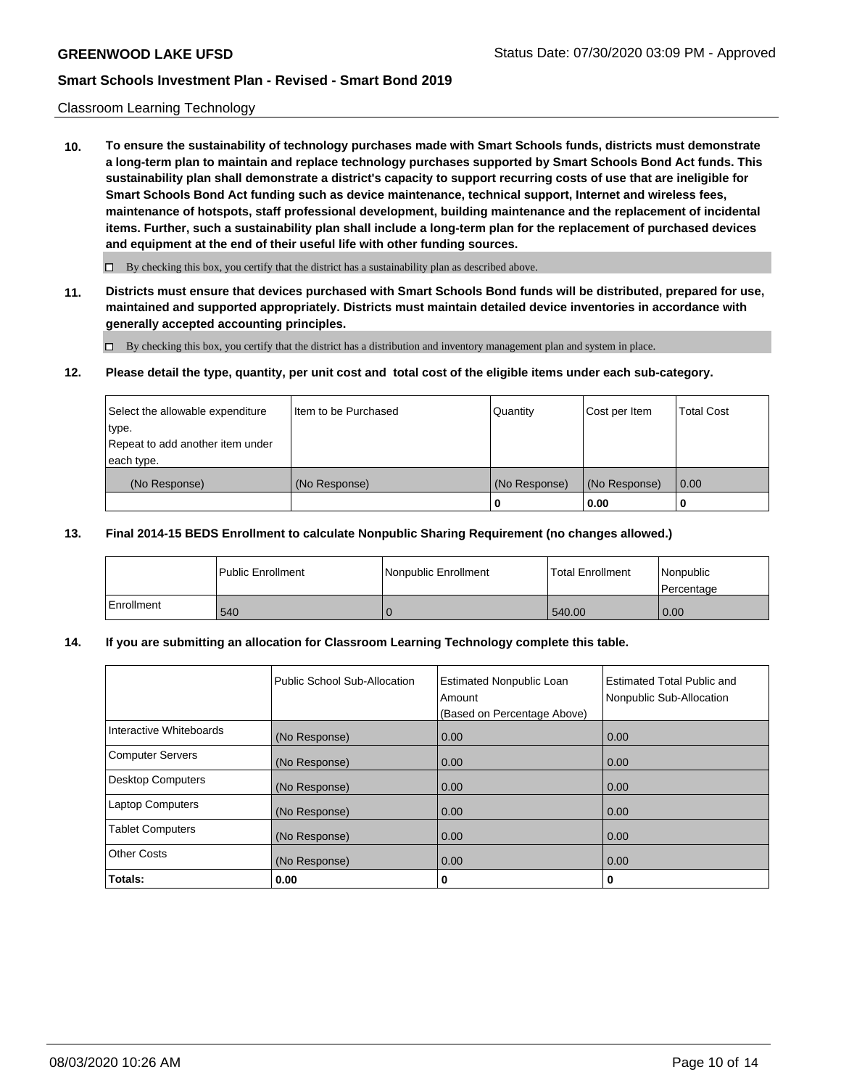### Classroom Learning Technology

**10. To ensure the sustainability of technology purchases made with Smart Schools funds, districts must demonstrate a long-term plan to maintain and replace technology purchases supported by Smart Schools Bond Act funds. This sustainability plan shall demonstrate a district's capacity to support recurring costs of use that are ineligible for Smart Schools Bond Act funding such as device maintenance, technical support, Internet and wireless fees, maintenance of hotspots, staff professional development, building maintenance and the replacement of incidental items. Further, such a sustainability plan shall include a long-term plan for the replacement of purchased devices and equipment at the end of their useful life with other funding sources.**

 $\Box$  By checking this box, you certify that the district has a sustainability plan as described above.

**11. Districts must ensure that devices purchased with Smart Schools Bond funds will be distributed, prepared for use, maintained and supported appropriately. Districts must maintain detailed device inventories in accordance with generally accepted accounting principles.**

By checking this box, you certify that the district has a distribution and inventory management plan and system in place.

#### **12. Please detail the type, quantity, per unit cost and total cost of the eligible items under each sub-category.**

| Select the allowable expenditure<br>type.<br>Repeat to add another item under | Item to be Purchased | Quantity      | Cost per Item | <b>Total Cost</b> |
|-------------------------------------------------------------------------------|----------------------|---------------|---------------|-------------------|
| each type.<br>(No Response)                                                   | (No Response)        | (No Response) | (No Response) | 0.00              |
|                                                                               |                      | 0             | 0.00          |                   |

#### **13. Final 2014-15 BEDS Enrollment to calculate Nonpublic Sharing Requirement (no changes allowed.)**

|              | l Public Enrollment | Nonpublic Enrollment | <b>Total Enrollment</b> | Nonpublic<br>l Percentage |
|--------------|---------------------|----------------------|-------------------------|---------------------------|
| l Enrollment | 540                 |                      | 540.00                  | 0.00                      |

### **14. If you are submitting an allocation for Classroom Learning Technology complete this table.**

|                         | Public School Sub-Allocation | <b>Estimated Nonpublic Loan</b><br>Amount<br>(Based on Percentage Above) | Estimated Total Public and<br>Nonpublic Sub-Allocation |
|-------------------------|------------------------------|--------------------------------------------------------------------------|--------------------------------------------------------|
| Interactive Whiteboards | (No Response)                | 0.00                                                                     | 0.00                                                   |
| Computer Servers        | (No Response)                | 0.00                                                                     | 0.00                                                   |
| Desktop Computers       | (No Response)                | 0.00                                                                     | 0.00                                                   |
| <b>Laptop Computers</b> | (No Response)                | 0.00                                                                     | 0.00                                                   |
| <b>Tablet Computers</b> | (No Response)                | 0.00                                                                     | 0.00                                                   |
| Other Costs             | (No Response)                | 0.00                                                                     | 0.00                                                   |
| Totals:                 | 0.00                         | 0                                                                        | 0                                                      |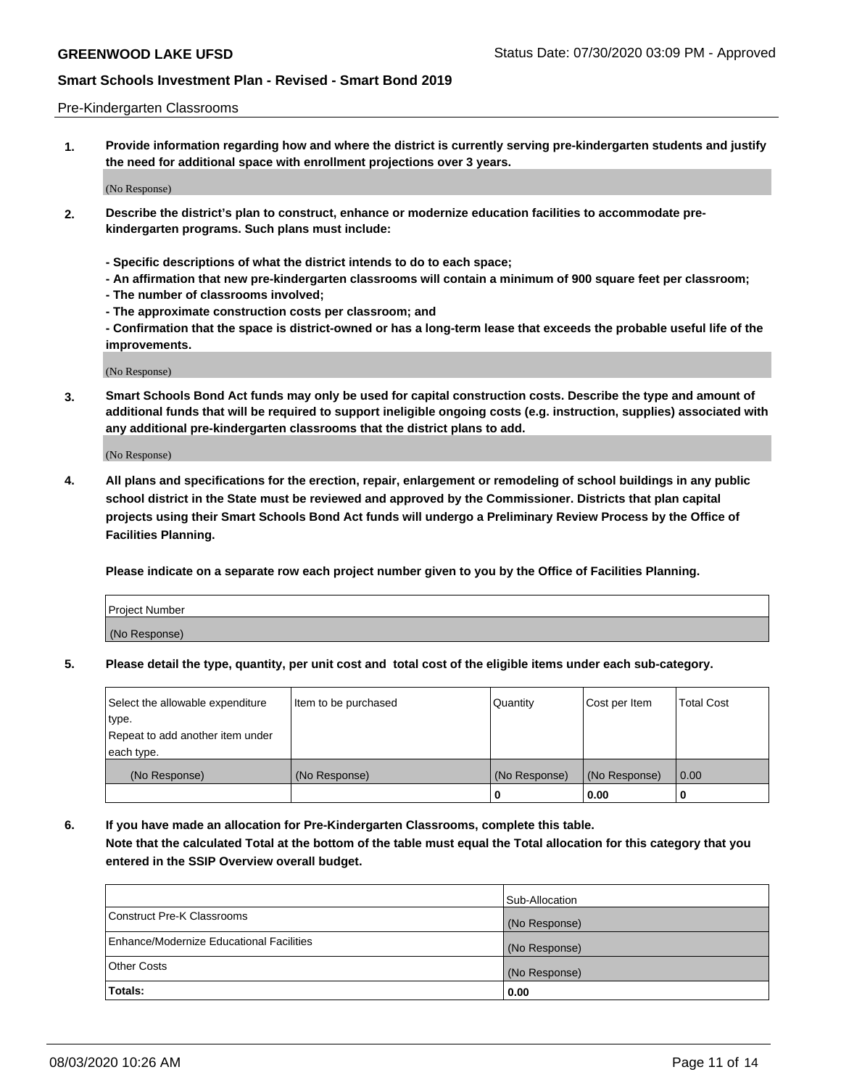### Pre-Kindergarten Classrooms

**1. Provide information regarding how and where the district is currently serving pre-kindergarten students and justify the need for additional space with enrollment projections over 3 years.**

(No Response)

- **2. Describe the district's plan to construct, enhance or modernize education facilities to accommodate prekindergarten programs. Such plans must include:**
	- **Specific descriptions of what the district intends to do to each space;**
	- **An affirmation that new pre-kindergarten classrooms will contain a minimum of 900 square feet per classroom;**
	- **The number of classrooms involved;**
	- **The approximate construction costs per classroom; and**
	- **Confirmation that the space is district-owned or has a long-term lease that exceeds the probable useful life of the improvements.**

(No Response)

**3. Smart Schools Bond Act funds may only be used for capital construction costs. Describe the type and amount of additional funds that will be required to support ineligible ongoing costs (e.g. instruction, supplies) associated with any additional pre-kindergarten classrooms that the district plans to add.**

(No Response)

**4. All plans and specifications for the erection, repair, enlargement or remodeling of school buildings in any public school district in the State must be reviewed and approved by the Commissioner. Districts that plan capital projects using their Smart Schools Bond Act funds will undergo a Preliminary Review Process by the Office of Facilities Planning.**

**Please indicate on a separate row each project number given to you by the Office of Facilities Planning.**

| Project Number |  |
|----------------|--|
| (No Response)  |  |
|                |  |

**5. Please detail the type, quantity, per unit cost and total cost of the eligible items under each sub-category.**

| Select the allowable expenditure | Item to be purchased | Quantity      | Cost per Item | <b>Total Cost</b> |
|----------------------------------|----------------------|---------------|---------------|-------------------|
| type.                            |                      |               |               |                   |
| Repeat to add another item under |                      |               |               |                   |
| each type.                       |                      |               |               |                   |
| (No Response)                    | (No Response)        | (No Response) | (No Response) | 0.00              |
|                                  |                      | υ             | 0.00          |                   |

**6. If you have made an allocation for Pre-Kindergarten Classrooms, complete this table. Note that the calculated Total at the bottom of the table must equal the Total allocation for this category that you entered in the SSIP Overview overall budget.**

|                                          | Sub-Allocation |
|------------------------------------------|----------------|
| Construct Pre-K Classrooms               | (No Response)  |
| Enhance/Modernize Educational Facilities | (No Response)  |
| <b>Other Costs</b>                       | (No Response)  |
| Totals:                                  | 0.00           |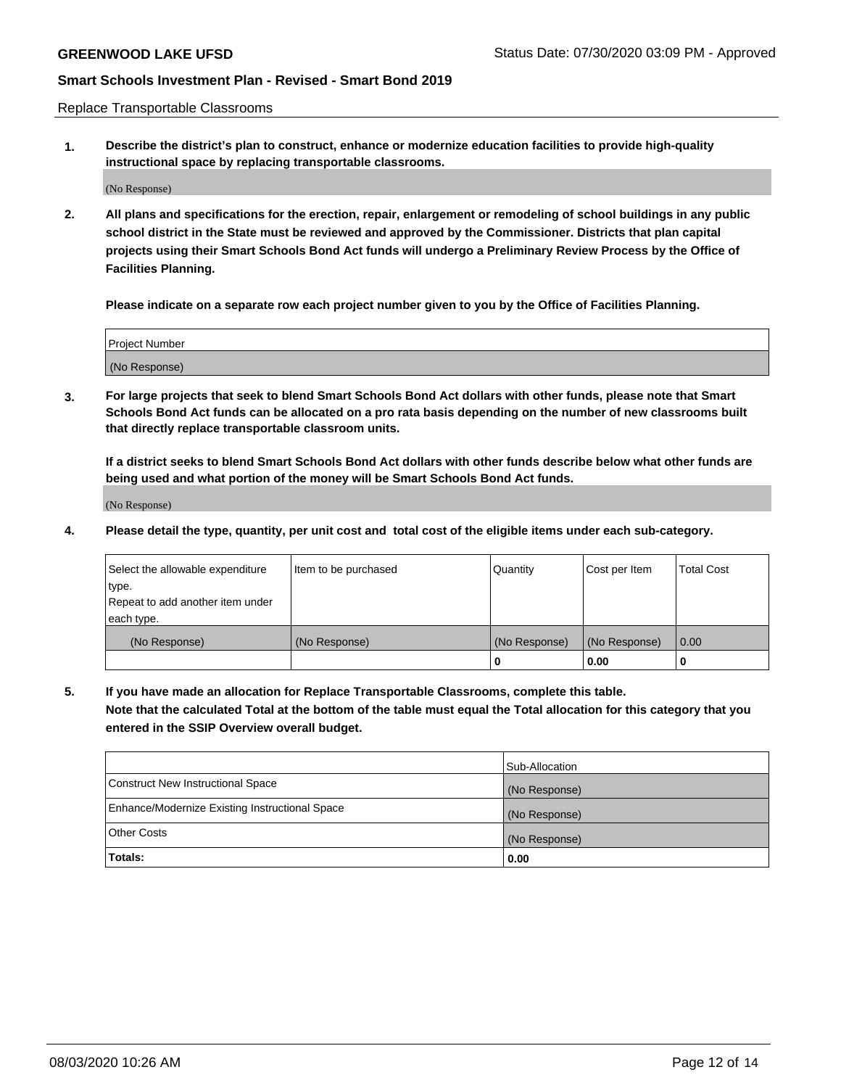Replace Transportable Classrooms

**1. Describe the district's plan to construct, enhance or modernize education facilities to provide high-quality instructional space by replacing transportable classrooms.**

(No Response)

**2. All plans and specifications for the erection, repair, enlargement or remodeling of school buildings in any public school district in the State must be reviewed and approved by the Commissioner. Districts that plan capital projects using their Smart Schools Bond Act funds will undergo a Preliminary Review Process by the Office of Facilities Planning.**

**Please indicate on a separate row each project number given to you by the Office of Facilities Planning.**

| Project Number |  |
|----------------|--|
|                |  |
|                |  |
|                |  |
| (No Response)  |  |
|                |  |
|                |  |

**3. For large projects that seek to blend Smart Schools Bond Act dollars with other funds, please note that Smart Schools Bond Act funds can be allocated on a pro rata basis depending on the number of new classrooms built that directly replace transportable classroom units.**

**If a district seeks to blend Smart Schools Bond Act dollars with other funds describe below what other funds are being used and what portion of the money will be Smart Schools Bond Act funds.**

(No Response)

**4. Please detail the type, quantity, per unit cost and total cost of the eligible items under each sub-category.**

| Select the allowable expenditure | Item to be purchased | Quantity      | Cost per Item | Total Cost |
|----------------------------------|----------------------|---------------|---------------|------------|
| ∣type.                           |                      |               |               |            |
| Repeat to add another item under |                      |               |               |            |
| each type.                       |                      |               |               |            |
| (No Response)                    | (No Response)        | (No Response) | (No Response) | 0.00       |
|                                  |                      | u             | 0.00          |            |

**5. If you have made an allocation for Replace Transportable Classrooms, complete this table. Note that the calculated Total at the bottom of the table must equal the Total allocation for this category that you entered in the SSIP Overview overall budget.**

|                                                | Sub-Allocation |
|------------------------------------------------|----------------|
| Construct New Instructional Space              | (No Response)  |
| Enhance/Modernize Existing Instructional Space | (No Response)  |
| Other Costs                                    | (No Response)  |
| Totals:                                        | 0.00           |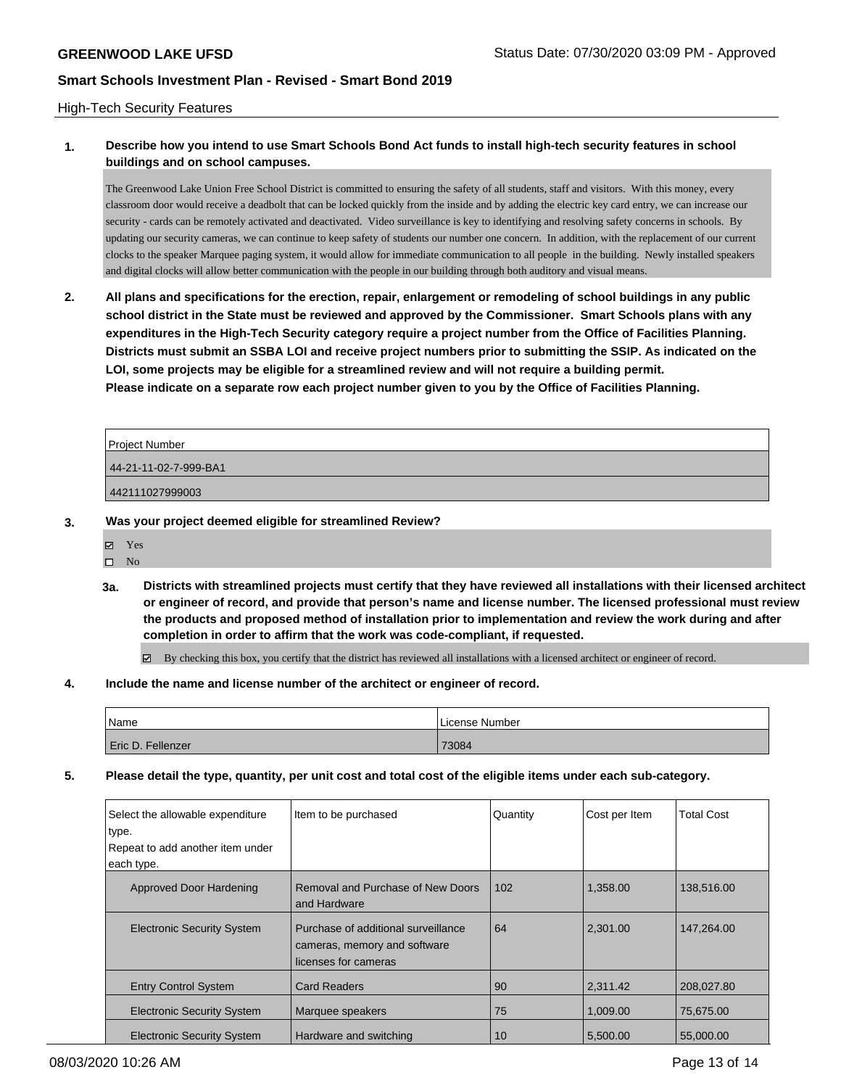### High-Tech Security Features

## **1. Describe how you intend to use Smart Schools Bond Act funds to install high-tech security features in school buildings and on school campuses.**

The Greenwood Lake Union Free School District is committed to ensuring the safety of all students, staff and visitors. With this money, every classroom door would receive a deadbolt that can be locked quickly from the inside and by adding the electric key card entry, we can increase our security - cards can be remotely activated and deactivated. Video surveillance is key to identifying and resolving safety concerns in schools. By updating our security cameras, we can continue to keep safety of students our number one concern. In addition, with the replacement of our current clocks to the speaker Marquee paging system, it would allow for immediate communication to all people in the building. Newly installed speakers and digital clocks will allow better communication with the people in our building through both auditory and visual means.

**2. All plans and specifications for the erection, repair, enlargement or remodeling of school buildings in any public school district in the State must be reviewed and approved by the Commissioner. Smart Schools plans with any expenditures in the High-Tech Security category require a project number from the Office of Facilities Planning. Districts must submit an SSBA LOI and receive project numbers prior to submitting the SSIP. As indicated on the LOI, some projects may be eligible for a streamlined review and will not require a building permit. Please indicate on a separate row each project number given to you by the Office of Facilities Planning.**

| Project Number        |  |
|-----------------------|--|
| 44-21-11-02-7-999-BA1 |  |
| 442111027999003       |  |

- **3. Was your project deemed eligible for streamlined Review?**
	- **冈** Yes
	- $\hfill \square$  No
	- **3a. Districts with streamlined projects must certify that they have reviewed all installations with their licensed architect or engineer of record, and provide that person's name and license number. The licensed professional must review the products and proposed method of installation prior to implementation and review the work during and after completion in order to affirm that the work was code-compliant, if requested.**

By checking this box, you certify that the district has reviewed all installations with a licensed architect or engineer of record.

**4. Include the name and license number of the architect or engineer of record.**

| Name              | License Number |
|-------------------|----------------|
| Eric D. Fellenzer | 73084          |

**5. Please detail the type, quantity, per unit cost and total cost of the eligible items under each sub-category.**

| Select the allowable expenditure<br>type. | Item to be purchased                                                                        | Quantity | Cost per Item | <b>Total Cost</b> |
|-------------------------------------------|---------------------------------------------------------------------------------------------|----------|---------------|-------------------|
| Repeat to add another item under          |                                                                                             |          |               |                   |
| each type.                                |                                                                                             |          |               |                   |
| Approved Door Hardening                   | Removal and Purchase of New Doors<br>and Hardware                                           | 102      | 1.358.00      | 138,516.00        |
| <b>Electronic Security System</b>         | Purchase of additional surveillance<br>cameras, memory and software<br>licenses for cameras | 64       | 2.301.00      | 147,264.00        |
| <b>Entry Control System</b>               | <b>Card Readers</b>                                                                         | 90       | 2.311.42      | 208,027.80        |
| <b>Electronic Security System</b>         | Marquee speakers                                                                            | 75       | 1.009.00      | 75.675.00         |
| <b>Electronic Security System</b>         | Hardware and switching                                                                      | 10       | 5.500.00      | 55,000,00         |